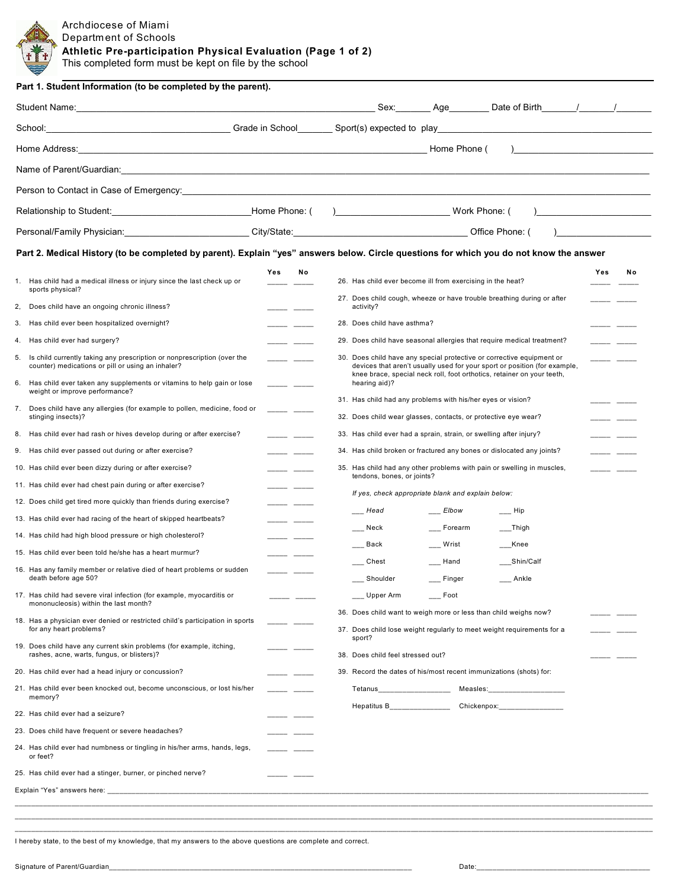**Athletic Pre-participation Physical Evaluation (Page 1 of 2)**

This completed form must be kept on file by the school

|                                                                                                                                 |                 | Sex: Age Date of Birth / /                                                                                                                                                                                                                                    |  |  |  |
|---------------------------------------------------------------------------------------------------------------------------------|-----------------|---------------------------------------------------------------------------------------------------------------------------------------------------------------------------------------------------------------------------------------------------------------|--|--|--|
|                                                                                                                                 |                 |                                                                                                                                                                                                                                                               |  |  |  |
|                                                                                                                                 |                 | Home Phone (                                                                                                                                                                                                                                                  |  |  |  |
|                                                                                                                                 |                 |                                                                                                                                                                                                                                                               |  |  |  |
| Person to Contact in Case of Emergency: experience and a series of the control of the control of the control of                 |                 |                                                                                                                                                                                                                                                               |  |  |  |
|                                                                                                                                 |                 | ) Work Phone: (                                                                                                                                                                                                                                               |  |  |  |
|                                                                                                                                 |                 | Personal/Family Physician: City/State: City/State: City/State: City/State: City/State: City/State: City/State: City/State: City/State: City/State: City/State: City/State: City/State: City/State: City/State: City/State: Cit                                |  |  |  |
|                                                                                                                                 |                 | Part 2. Medical History (to be completed by parent). Explain "yes" answers below. Circle questions for which you do not know the answer                                                                                                                       |  |  |  |
|                                                                                                                                 | Yes<br>No       | Yes<br>No                                                                                                                                                                                                                                                     |  |  |  |
| 1. Has child had a medical illness or injury since the last check up or<br>sports physical?                                     |                 | 26. Has child ever become ill from exercising in the heat?                                                                                                                                                                                                    |  |  |  |
| 2, Does child have an ongoing chronic illness?                                                                                  |                 | 27. Does child cough, wheeze or have trouble breathing during or after<br>activity?                                                                                                                                                                           |  |  |  |
| 3. Has child ever been hospitalized overnight?                                                                                  |                 | 28. Does child have asthma?                                                                                                                                                                                                                                   |  |  |  |
| 4. Has child ever had surgery?                                                                                                  |                 | 29. Does child have seasonal allergies that require medical treatment?                                                                                                                                                                                        |  |  |  |
| 5. Is child currently taking any prescription or nonprescription (over the<br>counter) medications or pill or using an inhaler? | - -             | 30. Does child have any special protective or corrective equipment or<br>devices that aren't usually used for your sport or position (for example,<br>knee brace, special neck roll, foot orthotics, retainer on your teeth,                                  |  |  |  |
| Has child ever taken any supplements or vitamins to help gain or lose<br>6.<br>weight or improve performance?                   |                 | hearing aid)?                                                                                                                                                                                                                                                 |  |  |  |
| 7. Does child have any allergies (for example to pollen, medicine, food or                                                      |                 | 31. Has child had any problems with his/her eyes or vision?                                                                                                                                                                                                   |  |  |  |
| stinging insects)?<br>8. Has child ever had rash or hives develop during or after exercise?                                     |                 | 32. Does child wear glasses, contacts, or protective eye wear?                                                                                                                                                                                                |  |  |  |
|                                                                                                                                 |                 | 33. Has child ever had a sprain, strain, or swelling after injury?                                                                                                                                                                                            |  |  |  |
| 9. Has child ever passed out during or after exercise?                                                                          |                 | 34. Has child broken or fractured any bones or dislocated any joints?                                                                                                                                                                                         |  |  |  |
| 10. Has child ever been dizzy during or after exercise?                                                                         | للمستدر المستند | 35. Has child had any other problems with pain or swelling in muscles,<br>tendons, bones, or joints?                                                                                                                                                          |  |  |  |
| 11. Has child ever had chest pain during or after exercise?                                                                     |                 | If yes, check appropriate blank and explain below:                                                                                                                                                                                                            |  |  |  |
| 12. Does child get tired more quickly than friends during exercise?                                                             |                 | Elbow<br>Head<br>$\rule{1em}{0.15mm}$ Hip                                                                                                                                                                                                                     |  |  |  |
| 13. Has child ever had racing of the heart of skipped heartbeats?                                                               |                 | Forearm<br>$\_\$ Thigh<br>___ Neck                                                                                                                                                                                                                            |  |  |  |
| 14. Has child had high blood pressure or high cholesterol?                                                                      |                 | Back<br>Wrist<br>__Knee                                                                                                                                                                                                                                       |  |  |  |
| 15. Has child ever been told he/she has a heart murmur?                                                                         |                 | Chest<br>Hand<br>Shin/Calf                                                                                                                                                                                                                                    |  |  |  |
| 16. Has any family member or relative died of heart problems or sudden<br>death before age 50?                                  |                 | Shoulder<br>Finger<br>___ Ankle                                                                                                                                                                                                                               |  |  |  |
| 17. Has child had severe viral infection (for example, myocarditis or                                                           |                 | Upper Arm<br>Foot                                                                                                                                                                                                                                             |  |  |  |
| mononucleosis) within the last month?                                                                                           |                 | 36. Does child want to weigh more or less than child weighs now?                                                                                                                                                                                              |  |  |  |
| 18. Has a physician ever denied or restricted child's participation in sports<br>for any heart problems?                        |                 | 37. Does child lose weight regularly to meet weight requirements for a                                                                                                                                                                                        |  |  |  |
| 19. Does child have any current skin problems (for example, itching,<br>rashes, acne, warts, fungus, or blisters)?              |                 | sport?<br>38. Does child feel stressed out?                                                                                                                                                                                                                   |  |  |  |
| 20. Has child ever had a head injury or concussion?                                                                             |                 | 39. Record the dates of his/most recent immunizations (shots) for:                                                                                                                                                                                            |  |  |  |
| 21. Has child ever been knocked out, become unconscious, or lost his/her<br>memory?                                             |                 | Tetanus____________________<br>Measles: the contract of the contract of the contract of the contract of the contract of the contract of the contract of the contract of the contract of the contract of the contract of the contract of the contract of the c |  |  |  |
| 22. Has child ever had a seizure?                                                                                               |                 | Hepatitus B<br>Chickenpox: ___________________                                                                                                                                                                                                                |  |  |  |
| 23. Does child have frequent or severe headaches?                                                                               |                 |                                                                                                                                                                                                                                                               |  |  |  |
| 24. Has child ever had numbness or tingling in his/her arms, hands, legs,<br>or feet?                                           |                 |                                                                                                                                                                                                                                                               |  |  |  |
| 25. Has child ever had a stinger, burner, or pinched nerve?                                                                     |                 |                                                                                                                                                                                                                                                               |  |  |  |
|                                                                                                                                 |                 |                                                                                                                                                                                                                                                               |  |  |  |

I hereby state, to the best of my knowledge, that my answers to the above questions are complete and correct.